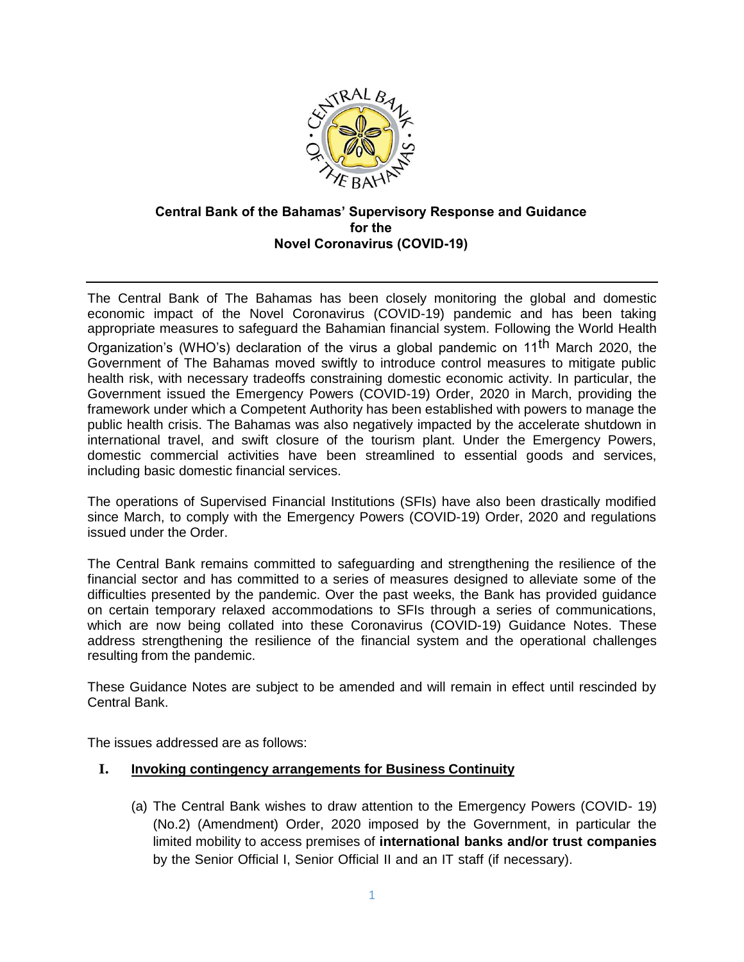

# **Central Bank of the Bahamas' Supervisory Response and Guidance for the Novel Coronavirus (COVID-19)**

The Central Bank of The Bahamas has been closely monitoring the global and domestic economic impact of the Novel Coronavirus (COVID-19) pandemic and has been taking appropriate measures to safeguard the Bahamian financial system. Following the World Health Organization's (WHO's) declaration of the virus a global pandemic on 11th March 2020, the Government of The Bahamas moved swiftly to introduce control measures to mitigate public health risk, with necessary tradeoffs constraining domestic economic activity. In particular, the Government issued the [Emergency Powers \(COVID-19\) Order, 2020](https://www.bahamas.gov.bs/wps/wcm/connect/a6e8fad8-f838-448c-83c0-2ff86e9d460d/EmergencyPowers%28COVID19%29%28SpecialProvisions%29Order2020%2830March2020%29.pdf?MOD=AJPERES) in March, providing the framework under which a Competent Authority has been established with powers to manage the public health crisis. The Bahamas was also negatively impacted by the accelerate shutdown in international travel, and swift closure of the tourism plant. Under the Emergency Powers, domestic commercial activities have been streamlined to essential goods and services, including basic domestic financial services.

The operations of Supervised Financial Institutions (SFIs) have also been drastically modified since March, to comply with the [Emergency Powers \(COVID-19\) Order, 2020 a](https://www.bahamas.gov.bs/wps/wcm/connect/a6e8fad8-f838-448c-83c0-2ff86e9d460d/EmergencyPowers%28COVID19%29%28SpecialProvisions%29Order2020%2830March2020%29.pdf?MOD=AJPERES)nd regulations issued under the Order.

The Central Bank remains committed to safeguarding and strengthening the resilience of the financial sector and has committed to a series of measures designed to alleviate some of the difficulties presented by the pandemic. Over the past weeks, the Bank has provided guidance on certain temporary relaxed accommodations to SFIs through a series of communications, which are now being collated into these Coronavirus (COVID-19) Guidance Notes. These address strengthening the resilience of the financial system and the operational challenges resulting from the pandemic.

These Guidance Notes are subject to be amended and will remain in effect until rescinded by Central Bank.

The issues addressed are as follows:

### **I. Invoking contingency arrangements for Business Continuity**

(a) The Central Bank wishes to draw attention to the Emergency Powers (COVID- 19) (No.2) (Amendment) Order, 2020 imposed by the Government, in particular the limited mobility to access premises of **international banks and/or trust companies** by the Senior Official I, Senior Official II and an IT staff (if necessary).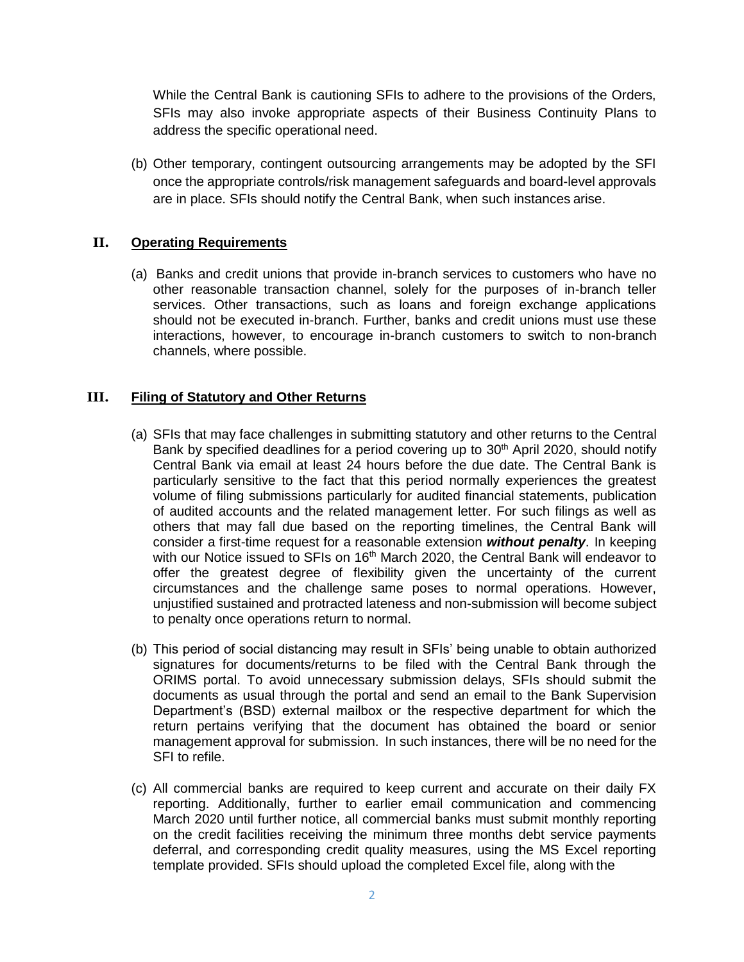While the Central Bank is cautioning SFIs to adhere to the provisions of the Orders, SFIs may also invoke appropriate aspects of their Business Continuity Plans to address the specific operational need.

(b) Other temporary, contingent outsourcing arrangements may be adopted by the SFI once the appropriate controls/risk management safeguards and board-level approvals are in place. SFIs should notify the Central Bank, when such instances arise.

### **II. Operating Requirements**

(a) Banks and credit unions that provide in-branch services to customers who have no other reasonable transaction channel, solely for the purposes of in-branch teller services. Other transactions, such as loans and foreign exchange applications should not be executed in-branch. Further, banks and credit unions must use these interactions, however, to encourage in-branch customers to switch to non-branch channels, where possible.

### **III. Filing of Statutory and Other Returns**

- (a) SFIs that may face challenges in submitting statutory and other returns to the Central Bank by specified deadlines for a period covering up to  $30<sup>th</sup>$  April 2020, should notify Central Bank via email at least 24 hours before the due date. The Central Bank is particularly sensitive to the fact that this period normally experiences the greatest volume of filing submissions particularly for audited financial statements, publication of audited accounts and the related management letter. For such filings as well as others that may fall due based on the reporting timelines, the Central Bank will consider a first-time request for a reasonable extension *without penalty*. In keeping with our Notice issued to SFIs on 16<sup>th</sup> March 2020, the Central Bank will endeavor to offer the greatest degree of flexibility given the uncertainty of the current circumstances and the challenge same poses to normal operations. However, unjustified sustained and protracted lateness and non-submission will become subject to penalty once operations return to normal.
- (b) This period of social distancing may result in SFIs' being unable to obtain authorized signatures for documents/returns to be filed with the Central Bank through the ORIMS portal. To avoid unnecessary submission delays, SFIs should submit the documents as usual through the portal and send an email to the Bank Supervision Department's (BSD) external mailbox or the respective department for which the return pertains verifying that the document has obtained the board or senior management approval for submission. In such instances, there will be no need for the SFI to refile.
- (c) All commercial banks are required to keep current and accurate on their daily FX reporting. Additionally, further to earlier email communication and commencing March 2020 until further notice, all commercial banks must submit monthly reporting on the credit facilities receiving the minimum three months debt service payments deferral, and corresponding credit quality measures, using the MS Excel reporting template provided. SFIs should upload the completed Excel file, along with the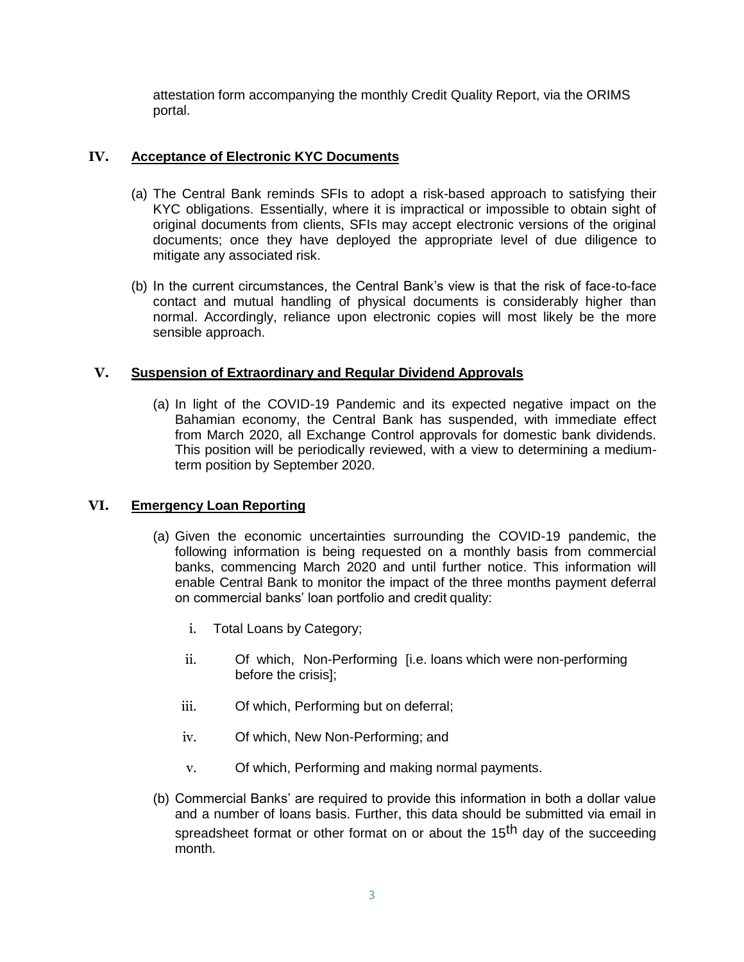attestation form accompanying the monthly Credit Quality Report, via the ORIMS portal.

### **IV. Acceptance of Electronic KYC Documents**

- (a) The Central Bank reminds SFIs to adopt a risk-based approach to satisfying their KYC obligations. Essentially, where it is impractical or impossible to obtain sight of original documents from clients, SFIs may accept electronic versions of the original documents; once they have deployed the appropriate level of due diligence to mitigate any associated risk.
- (b) In the current circumstances, the Central Bank's view is that the risk of face-to-face contact and mutual handling of physical documents is considerably higher than normal. Accordingly, reliance upon electronic copies will most likely be the more sensible approach.

### **V. Suspension of Extraordinary and Regular Dividend Approvals**

(a) In light of the COVID-19 Pandemic and its expected negative impact on the Bahamian economy, the Central Bank has suspended, with immediate effect from March 2020, all Exchange Control approvals for domestic bank dividends. This position will be periodically reviewed, with a view to determining a mediumterm position by September 2020.

## **VI. Emergency Loan Reporting**

- (a) Given the economic uncertainties surrounding the COVID-19 pandemic, the following information is being requested on a monthly basis from commercial banks, commencing March 2020 and until further notice. This information will enable Central Bank to monitor the impact of the three months payment deferral on commercial banks' loan portfolio and credit quality:
	- i. Total Loans by Category;
	- ii. Of which, Non-Performing [i.e. loans which were non-performing before the crisis];
	- iii. Of which, Performing but on deferral;
	- iv. Of which, New Non-Performing; and
	- v. Of which, Performing and making normal payments.
- (b) Commercial Banks' are required to provide this information in both a dollar value and a number of loans basis. Further, this data should be submitted via email in spreadsheet format or other format on or about the 15<sup>th</sup> day of the succeeding month.